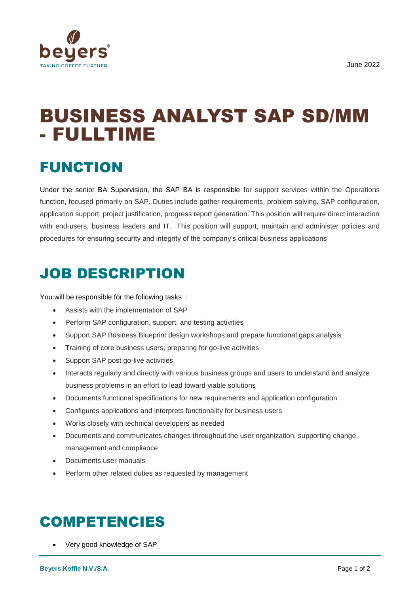

# BUSINESS ANALYST SAP SD/MM - FULLTIME

## FUNCTION

Under the senior BA Supervision, the SAP BA is responsible for support services within the Operations function, focused primarily on SAP. Duties include gather requirements, problem solving, SAP configuration, application support, project justification, progress report generation. This position will require direct interaction with end-users, business leaders and IT. This position will support, maintain and administer policies and procedures for ensuring security and integrity of the company's critical business applications

### JOB DESCRIPTION

You will be responsible for the following tasks :

- Assists with the implementation of SAP
- Perform SAP configuration, support, and testing activities
- Support SAP Business Blueprint design workshops and prepare functional gaps analysis
- Training of core business users, preparing for go-live activities
- Support SAP post go-live activities.
- Interacts regularly and directly with various business groups and users to understand and analyze business problems in an effort to lead toward viable solutions
- Documents functional specifications for new requirements and application configuration
- Configures applications and interprets functionality for business users
- Works closely with technical developers as needed
- Documents and communicates changes throughout the user organization, supporting change management and compliance
- Documents user manuals
- Perform other related duties as requested by management

#### COMPETENCIES

Very good knowledge of SAP